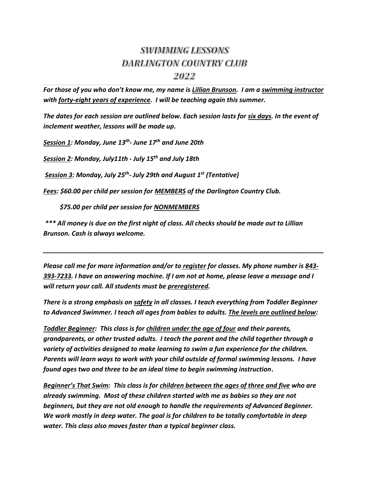## **SWIMMING LESSONS DARLINGTON COUNTRY CLUB** 2022

*For those of you who don't know me, my name is Lillian Brunson. I am a swimming instructor with forty-eight years of experience. I will be teaching again this summer.*

*The dates for each session are outlined below. Each session lasts for six days. In the event of inclement weather, lessons will be made up.*

*Session 1: Monday, June 13 th - June 17 th and June 20th*

*Session 2: Monday, July11th - July 15 th and July 18th*

*Session 3: Monday, July 25 th - July 29th and August 1 st (Tentative)*

*Fees: \$60.00 per child per session for MEMBERS of the Darlington Country Club.*

 *\$75.00 per child per session for NONMEMBERS*

*\*\*\* All money is due on the first night of class. All checks should be made out to Lillian Brunson. Cash is always welcome.*

*Please call me for more information and/or to register for classes. My phone number is 843- 393-7233. I have an answering machine. If I am not at home, please leave a message and I will return your call. All students must be preregistered.*

*\_\_\_\_\_\_\_\_\_\_\_\_\_\_\_\_\_\_\_\_\_\_\_\_\_\_\_\_\_\_\_\_\_\_\_\_\_\_\_\_\_\_\_\_\_\_\_\_\_\_\_\_\_\_\_\_\_\_\_\_\_\_\_\_\_\_\_\_\_\_\_\_\_\_\_\_\_\_*

*There is a strong emphasis on safety in all classes. I teach everything from Toddler Beginner to Advanced Swimmer. I teach all ages from babies to adults. The levels are outlined below:*

*Toddler Beginner: This class is for children under the age of four and their parents, grandparents, or other trusted adults. I teach the parent and the child together through a variety of activities designed to make learning to swim a fun experience for the children.* *Parents will learn ways to work with your child outside of formal swimming lessons. I have found ages two and three to be an ideal time to begin swimming instruction***.**

*Beginner's That Swim: This class is for children between the ages of three and five who are already swimming. Most of these children started with me as babies so they are not beginners, but they are not old enough to handle the requirements of Advanced Beginner. We work mostly in deep water. The goal is for children to be totally comfortable in deep water. This class also moves faster than a typical beginner class.*